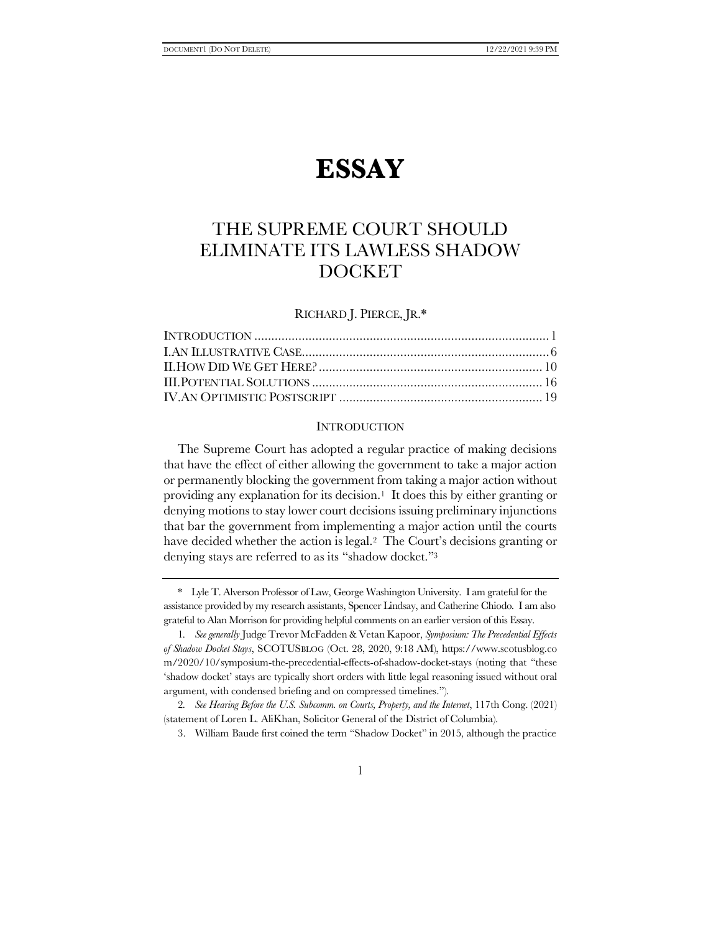# **ESSAY**

## THE SUPREME COURT SHOULD ELIMINATE ITS LAWLESS SHADOW DOCKET

RICHARD J. PIERCE, JR.\*

#### <span id="page-0-1"></span><span id="page-0-0"></span>**INTRODUCTION**

The Supreme Court has adopted a regular practice of making decisions that have the effect of either allowing the government to take a major action or permanently blocking the government from taking a major action without providing any explanation for its decision.<sup>1</sup> It does this by either granting or denying motions to stay lower court decisions issuing preliminary injunctions that bar the government from implementing a major action until the courts have decided whether the action is legal.2 The Court's decisions granting or denying stays are referred to as its "shadow docket."<sup>3</sup>

<sup>\*</sup> Lyle T. Alverson Professor of Law, George Washington University. I am grateful for the assistance provided by my research assistants, Spencer Lindsay, and Catherine Chiodo. I am also grateful to Alan Morrison for providing helpful comments on an earlier version of this Essay.

<sup>1</sup>*. See generally* Judge Trevor McFadden & Vetan Kapoor, *Symposium: The Precedential Effects of Shadow Docket Stays*, SCOTUSBLOG (Oct. 28, 2020, 9:18 AM), https://www.scotusblog.co m/2020/10/symposium-the-precedential-effects-of-shadow-docket-stays (noting that "these 'shadow docket' stays are typically short orders with little legal reasoning issued without oral argument, with condensed briefing and on compressed timelines.").

<sup>2</sup>*. See Hearing Before the U.S. Subcomm. on Courts, Property, and the Internet*, 117th Cong. (2021) (statement of Loren L. AliKhan, Solicitor General of the District of Columbia).

<sup>3.</sup> William Baude first coined the term "Shadow Docket" in 2015, although the practice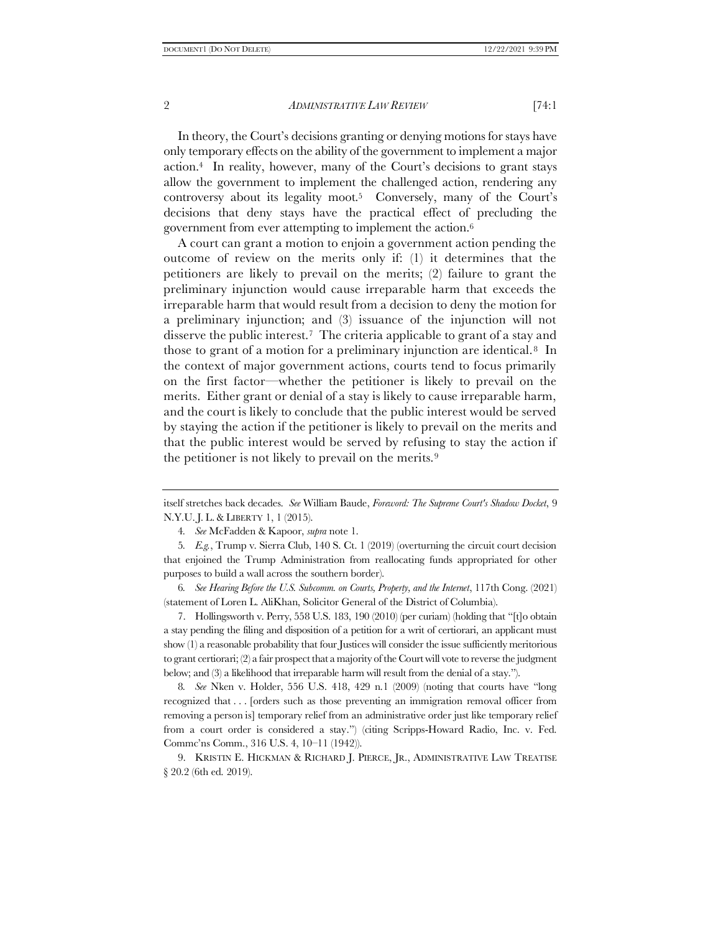In theory, the Court's decisions granting or denying motions for stays have only temporary effects on the ability of the government to implement a major action.4 In reality, however, many of the Court's decisions to grant stays allow the government to implement the challenged action, rendering any controversy about its legality moot.5 Conversely, many of the Court's decisions that deny stays have the practical effect of precluding the government from ever attempting to implement the action.<sup>6</sup>

A court can grant a motion to enjoin a government action pending the outcome of review on the merits only if: (1) it determines that the petitioners are likely to prevail on the merits; (2) failure to grant the preliminary injunction would cause irreparable harm that exceeds the irreparable harm that would result from a decision to deny the motion for a preliminary injunction; and (3) issuance of the injunction will not disserve the public interest.7 The criteria applicable to grant of a stay and those to grant of a motion for a preliminary injunction are identical.<sup>8</sup> In the context of major government actions, courts tend to focus primarily on the first factor—whether the petitioner is likely to prevail on the merits. Either grant or denial of a stay is likely to cause irreparable harm, and the court is likely to conclude that the public interest would be served by staying the action if the petitioner is likely to prevail on the merits and that the public interest would be served by refusing to stay the action if the petitioner is not likely to prevail on the merits.<sup>9</sup>

6*. See Hearing Before the U.S. Subcomm. on Courts, Property, and the Internet*, 117th Cong. (2021) (statement of Loren L. AliKhan, Solicitor General of the District of Columbia).

7. Hollingsworth v. Perry, 558 U.S. 183, 190 (2010) (per curiam) (holding that "[t]o obtain a stay pending the filing and disposition of a petition for a writ of certiorari, an applicant must show (1) a reasonable probability that four Justices will consider the issue sufficiently meritorious to grant certiorari; (2) a fair prospect that a majority of the Court will vote to reverse the judgment below; and (3) a likelihood that irreparable harm will result from the denial of a stay.").

8*. See* Nken v. Holder, 556 U.S. 418, 429 n.1 (2009) (noting that courts have "long recognized that . . . [orders such as those preventing an immigration removal officer from removing a person is] temporary relief from an administrative order just like temporary relief from a court order is considered a stay.") (citing Scripps-Howard Radio, Inc. v. Fed. Commc'ns Comm., 316 U.S. 4, 10–11 (1942)).

9. KRISTIN E. HICKMAN & RICHARD J. PIERCE, JR., ADMINISTRATIVE LAW TREATISE § 20.2 (6th ed. 2019).

itself stretches back decades. *See* William Baude, *Foreword: The Supreme Court's Shadow Docket*, 9 N.Y.U. J. L.& LIBERTY 1, 1 (2015).

<sup>4</sup>*. See* McFadden & Kapoor, *supra* not[e 1.](#page-0-0)

<sup>5</sup>*. E.g.*, Trump v. Sierra Club, 140 S. Ct. 1 (2019) (overturning the circuit court decision that enjoined the Trump Administration from reallocating funds appropriated for other purposes to build a wall across the southern border).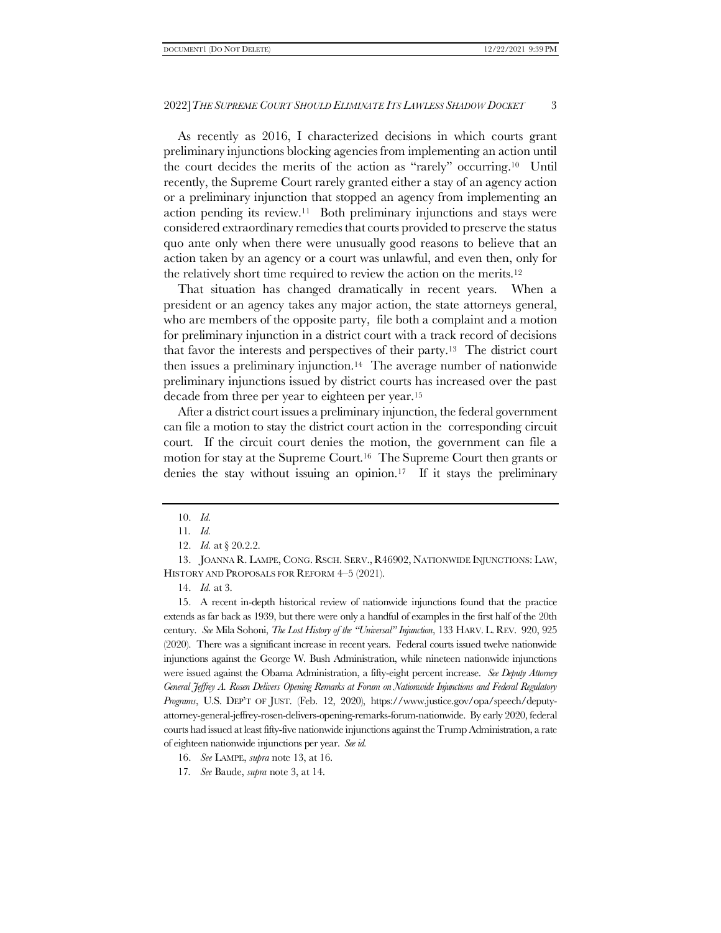As recently as 2016, I characterized decisions in which courts grant preliminary injunctions blocking agencies from implementing an action until the court decides the merits of the action as "rarely" occurring. <sup>10</sup> Until recently, the Supreme Court rarely granted either a stay of an agency action or a preliminary injunction that stopped an agency from implementing an action pending its review.11 Both preliminary injunctions and stays were considered extraordinary remedies that courts provided to preserve the status quo ante only when there were unusually good reasons to believe that an action taken by an agency or a court was unlawful, and even then, only for the relatively short time required to review the action on the merits.<sup>12</sup>

<span id="page-2-0"></span>That situation has changed dramatically in recent years. When a president or an agency takes any major action, the state attorneys general, who are members of the opposite party, file both a complaint and a motion for preliminary injunction in a district court with a track record of decisions that favor the interests and perspectives of their party.13 The district court then issues a preliminary injunction.14 The average number of nationwide preliminary injunctions issued by district courts has increased over the past decade from three per year to eighteen per year.<sup>15</sup>

<span id="page-2-1"></span>After a district court issues a preliminary injunction, the federal government can file a motion to stay the district court action in the corresponding circuit court. If the circuit court denies the motion, the government can file a motion for stay at the Supreme Court.16 The Supreme Court then grants or denies the stay without issuing an opinion.17 If it stays the preliminary

13. JOANNA R. LAMPE, CONG. RSCH. SERV., R46902, NATIONWIDE INJUNCTIONS: LAW, HISTORY AND PROPOSALS FOR REFORM 4–5 (2021).

15. A recent in-depth historical review of nationwide injunctions found that the practice extends as far back as 1939, but there were only a handful of examples in the first half of the 20th century. *See* Mila Sohoni, *The Lost History of the "Universal" Injunction*, 133 HARV. L. REV. 920, 925 (2020). There was a significant increase in recent years. Federal courts issued twelve nationwide injunctions against the George W. Bush Administration, while nineteen nationwide injunctions were issued against the Obama Administration, a fifty-eight percent increase. *See Deputy Attorney General Jeffrey A. Rosen Delivers Opening Remarks at Forum on Nationwide Injunctions and Federal Regulatory Programs*, U.S. DEP'T OF JUST. (Feb. 12, 2020), https://www.justice.gov/opa/speech/deputyattorney-general-jeffrey-rosen-delivers-opening-remarks-forum-nationwide. By early 2020, federal courts had issued at least fifty-five nationwide injunctions against the Trump Administration, a rate of eighteen nationwide injunctions per year. *See id.*

<sup>10.</sup> *Id.*

<sup>11</sup>*. Id.*

<sup>12.</sup> *Id.* at § 20.2.2.

<sup>14.</sup> *Id.* at 3.

<sup>16.</sup> *See* LAMPE, *supra* note [13,](#page-2-0) at 16.

<sup>17</sup>*. See* Baude, *supra* not[e 3,](#page-0-1) at 14.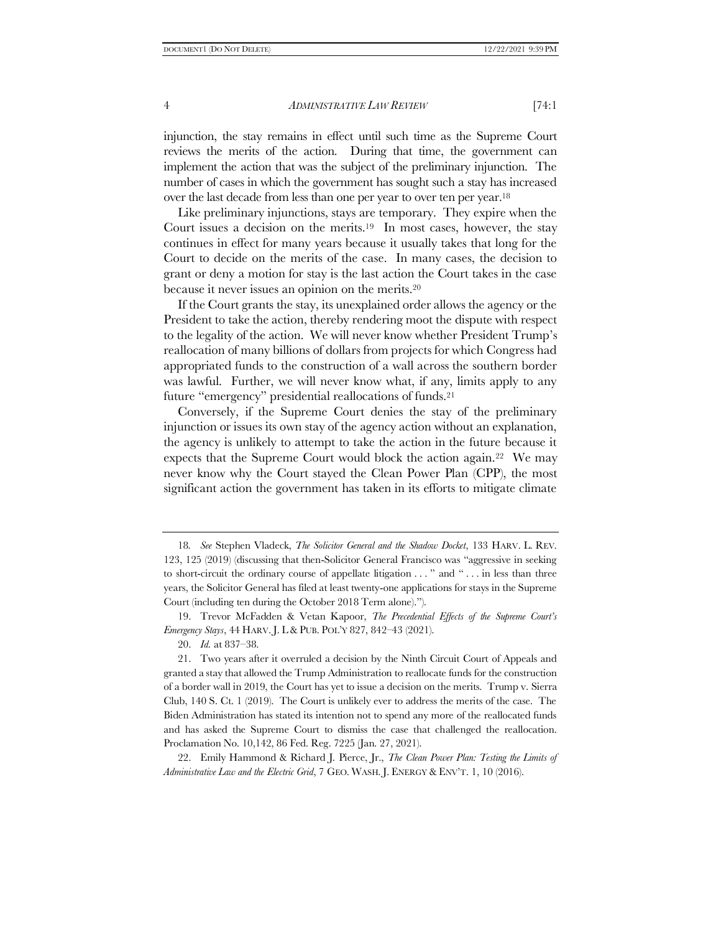injunction, the stay remains in effect until such time as the Supreme Court reviews the merits of the action. During that time, the government can implement the action that was the subject of the preliminary injunction. The number of cases in which the government has sought such a stay has increased over the last decade from less than one per year to over ten per year.<sup>18</sup>

<span id="page-3-0"></span>Like preliminary injunctions, stays are temporary. They expire when the Court issues a decision on the merits.19 In most cases, however, the stay continues in effect for many years because it usually takes that long for the Court to decide on the merits of the case. In many cases, the decision to grant or deny a motion for stay is the last action the Court takes in the case because it never issues an opinion on the merits.<sup>20</sup>

If the Court grants the stay, its unexplained order allows the agency or the President to take the action, thereby rendering moot the dispute with respect to the legality of the action. We will never know whether President Trump's reallocation of many billions of dollars from projects for which Congress had appropriated funds to the construction of a wall across the southern border was lawful. Further, we will never know what, if any, limits apply to any future "emergency" presidential reallocations of funds.<sup>21</sup>

<span id="page-3-1"></span>Conversely, if the Supreme Court denies the stay of the preliminary injunction or issues its own stay of the agency action without an explanation, the agency is unlikely to attempt to take the action in the future because it expects that the Supreme Court would block the action again.22 We may never know why the Court stayed the Clean Power Plan (CPP), the most significant action the government has taken in its efforts to mitigate climate

19. Trevor McFadden & Vetan Kapoor, *The Precedential Effects of the Supreme Court's Emergency Stays*, 44 HARV. J. L& PUB. POL'Y 827, 842–43 (2021).

22. Emily Hammond & Richard J. Pierce, Jr., *The Clean Power Plan: Testing the Limits of Administrative Law and the Electric Grid*, 7 GEO. WASH. J. ENERGY & ENV'T. 1, 10 (2016).

<sup>18</sup>*. See* Stephen Vladeck, *The Solicitor General and the Shadow Docket*, 133 HARV. L. REV. 123, 125 (2019) (discussing that then-Solicitor General Francisco was "aggressive in seeking to short-circuit the ordinary course of appellate litigation . . . " and " . . . in less than three years, the Solicitor General has filed at least twenty-one applications for stays in the Supreme Court (including ten during the October 2018 Term alone).").

<sup>20.</sup> *Id.* at 837–38.

<sup>21.</sup> Two years after it overruled a decision by the Ninth Circuit Court of Appeals and granted a stay that allowed the Trump Administration to reallocate funds for the construction of a border wall in 2019, the Court has yet to issue a decision on the merits. Trump v. Sierra Club, 140 S. Ct. 1 (2019). The Court is unlikely ever to address the merits of the case. The Biden Administration has stated its intention not to spend any more of the reallocated funds and has asked the Supreme Court to dismiss the case that challenged the reallocation. Proclamation No. 10,142, 86 Fed. Reg. 7225 (Jan. 27, 2021).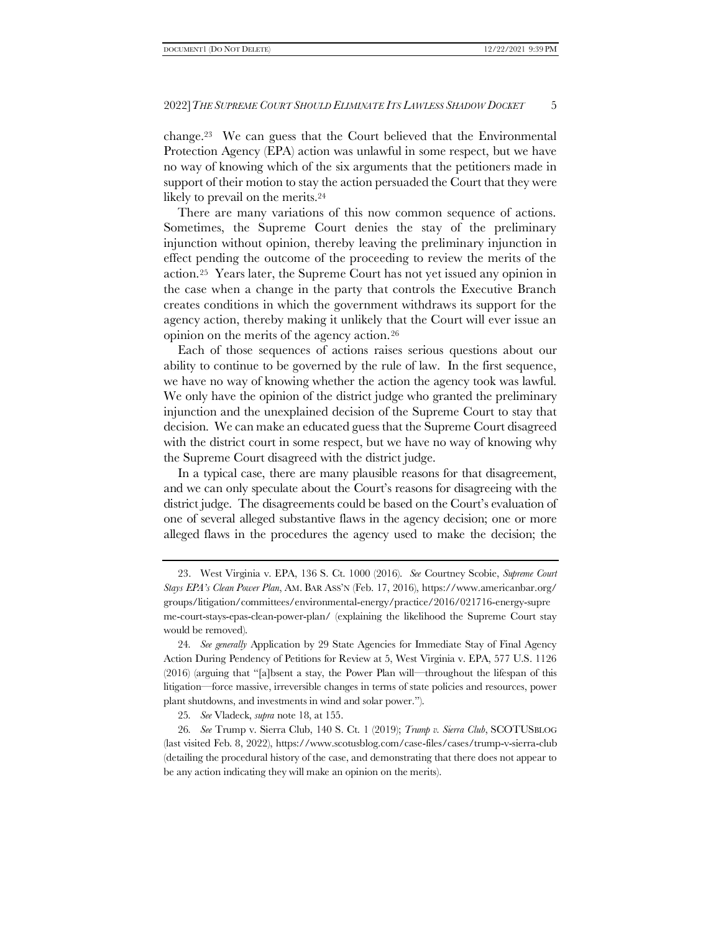change.23 We can guess that the Court believed that the Environmental Protection Agency (EPA) action was unlawful in some respect, but we have no way of knowing which of the six arguments that the petitioners made in support of their motion to stay the action persuaded the Court that they were likely to prevail on the merits.<sup>24</sup>

There are many variations of this now common sequence of actions. Sometimes, the Supreme Court denies the stay of the preliminary injunction without opinion, thereby leaving the preliminary injunction in effect pending the outcome of the proceeding to review the merits of the action.25 Years later, the Supreme Court has not yet issued any opinion in the case when a change in the party that controls the Executive Branch creates conditions in which the government withdraws its support for the agency action, thereby making it unlikely that the Court will ever issue an opinion on the merits of the agency action.<sup>26</sup>

Each of those sequences of actions raises serious questions about our ability to continue to be governed by the rule of law. In the first sequence, we have no way of knowing whether the action the agency took was lawful. We only have the opinion of the district judge who granted the preliminary injunction and the unexplained decision of the Supreme Court to stay that decision. We can make an educated guess that the Supreme Court disagreed with the district court in some respect, but we have no way of knowing why the Supreme Court disagreed with the district judge.

In a typical case, there are many plausible reasons for that disagreement, and we can only speculate about the Court's reasons for disagreeing with the district judge. The disagreements could be based on the Court's evaluation of one of several alleged substantive flaws in the agency decision; one or more alleged flaws in the procedures the agency used to make the decision; the

25*. See* Vladeck, *supra* not[e 18,](#page-3-0) at 155.

26*. See* Trump v. Sierra Club, 140 S. Ct. 1 (2019); *Trump v. Sierra Club*, SCOTUSBLOG (last visited Feb. 8, 2022), https://www.scotusblog.com/case-files/cases/trump-v-sierra-club (detailing the procedural history of the case, and demonstrating that there does not appear to be any action indicating they will make an opinion on the merits).

<sup>23.</sup> West Virginia v. EPA, 136 S. Ct. 1000 (2016). *See* Courtney Scobie, *Supreme Court Stays EPA's Clean Power Plan*, AM. BAR ASS'N (Feb. 17, 2016), https://www.americanbar.org/ groups/litigation/committees/environmental-energy/practice/2016/021716-energy-supre me-court-stays-epas-clean-power-plan/ (explaining the likelihood the Supreme Court stay would be removed).

<sup>24</sup>*. See generally* Application by 29 State Agencies for Immediate Stay of Final Agency Action During Pendency of Petitions for Review at 5, West Virginia v. EPA, 577 U.S. 1126 (2016) (arguing that "[a]bsent a stay, the Power Plan will—throughout the lifespan of this litigation—force massive, irreversible changes in terms of state policies and resources, power plant shutdowns, and investments in wind and solar power.").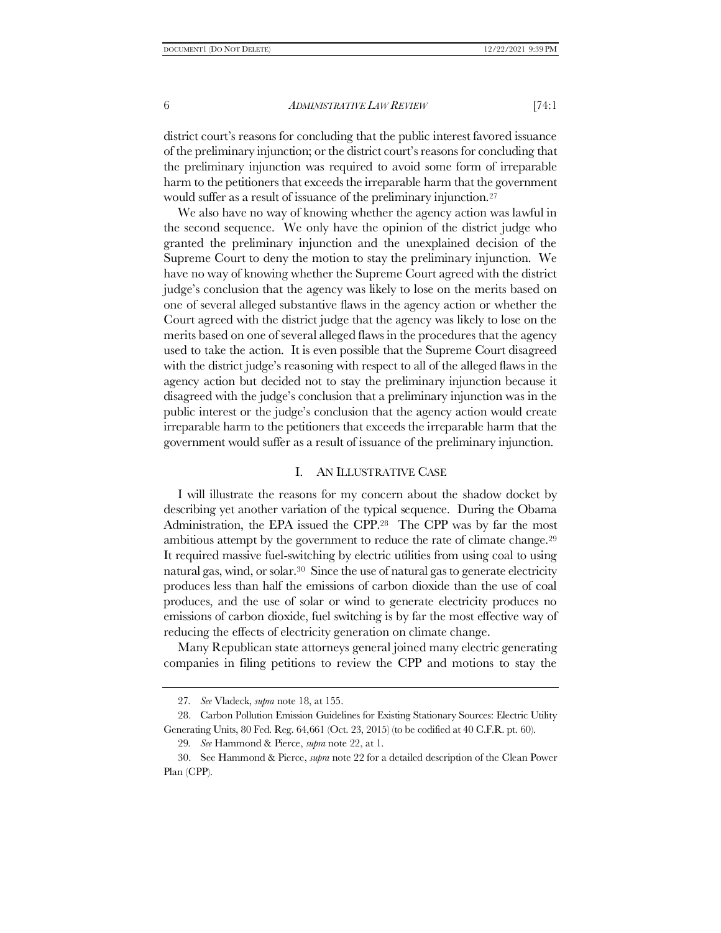district court's reasons for concluding that the public interest favored issuance of the preliminary injunction; or the district court's reasons for concluding that the preliminary injunction was required to avoid some form of irreparable harm to the petitioners that exceeds the irreparable harm that the government would suffer as a result of issuance of the preliminary injunction.<sup>27</sup>

We also have no way of knowing whether the agency action was lawful in the second sequence. We only have the opinion of the district judge who granted the preliminary injunction and the unexplained decision of the Supreme Court to deny the motion to stay the preliminary injunction. We have no way of knowing whether the Supreme Court agreed with the district judge's conclusion that the agency was likely to lose on the merits based on one of several alleged substantive flaws in the agency action or whether the Court agreed with the district judge that the agency was likely to lose on the merits based on one of several alleged flaws in the procedures that the agency used to take the action. It is even possible that the Supreme Court disagreed with the district judge's reasoning with respect to all of the alleged flaws in the agency action but decided not to stay the preliminary injunction because it disagreed with the judge's conclusion that a preliminary injunction was in the public interest or the judge's conclusion that the agency action would create irreparable harm to the petitioners that exceeds the irreparable harm that the government would suffer as a result of issuance of the preliminary injunction.

#### I. AN ILLUSTRATIVE CASE

<span id="page-5-0"></span>I will illustrate the reasons for my concern about the shadow docket by describing yet another variation of the typical sequence. During the Obama Administration, the EPA issued the CPP.28 The CPP was by far the most ambitious attempt by the government to reduce the rate of climate change.<sup>29</sup> It required massive fuel-switching by electric utilities from using coal to using natural gas, wind, or solar.30 Since the use of natural gas to generate electricity produces less than half the emissions of carbon dioxide than the use of coal produces, and the use of solar or wind to generate electricity produces no emissions of carbon dioxide, fuel switching is by far the most effective way of reducing the effects of electricity generation on climate change.

Many Republican state attorneys general joined many electric generating companies in filing petitions to review the CPP and motions to stay the

<sup>27</sup>*. See* Vladeck, *supra* not[e 18,](#page-3-0) at 155.

<sup>28.</sup> Carbon Pollution Emission Guidelines for Existing Stationary Sources: Electric Utility Generating Units, 80 Fed. Reg. 64,661 (Oct. 23, 2015) (to be codified at 40 C.F.R. pt. 60).

<sup>29</sup>*. See* Hammond & Pierce, *supra* not[e 22,](#page-3-1) at 1.

<sup>30.</sup> See Hammond & Pierce, *supra* not[e 22](#page-3-1) for a detailed description of the Clean Power Plan (CPP).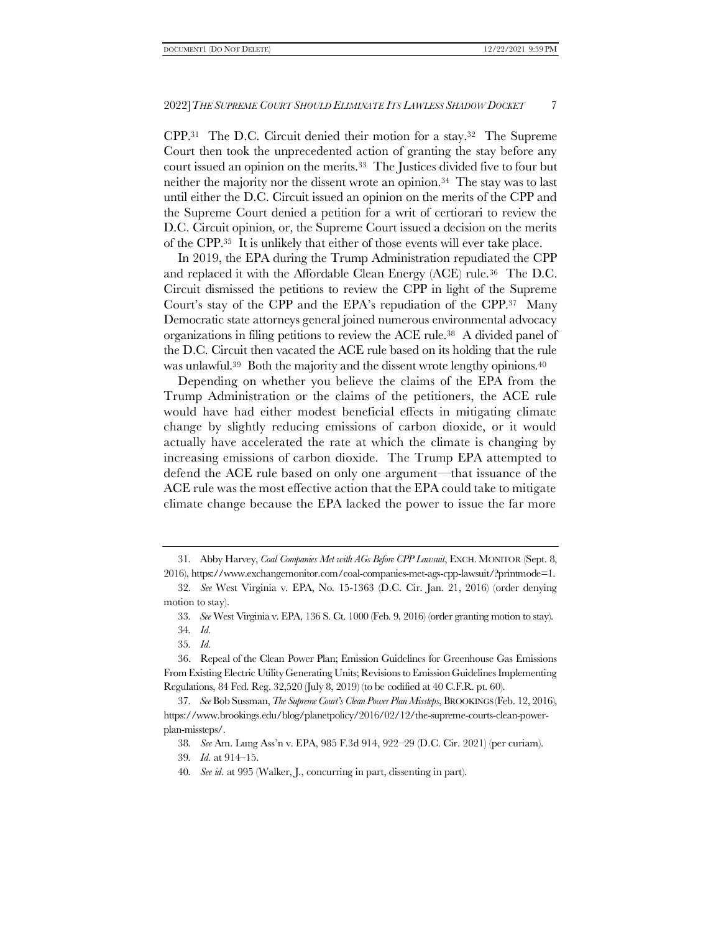CPP.31 The D.C. Circuit denied their motion for a stay.32 The Supreme Court then took the unprecedented action of granting the stay before any court issued an opinion on the merits.33 The Justices divided five to four but neither the majority nor the dissent wrote an opinion.34 The stay was to last until either the D.C. Circuit issued an opinion on the merits of the CPP and the Supreme Court denied a petition for a writ of certiorari to review the D.C. Circuit opinion, or, the Supreme Court issued a decision on the merits of the CPP.35 It is unlikely that either of those events will ever take place.

In 2019, the EPA during the Trump Administration repudiated the CPP and replaced it with the Affordable Clean Energy (ACE) rule.36 The D.C. Circuit dismissed the petitions to review the CPP in light of the Supreme Court's stay of the CPP and the EPA's repudiation of the CPP.37 Many Democratic state attorneys general joined numerous environmental advocacy organizations in filing petitions to review the ACE rule.38 A divided panel of the D.C. Circuit then vacated the ACE rule based on its holding that the rule was unlawful.<sup>39</sup> Both the majority and the dissent wrote lengthy opinions.<sup>40</sup>

Depending on whether you believe the claims of the EPA from the Trump Administration or the claims of the petitioners, the ACE rule would have had either modest beneficial effects in mitigating climate change by slightly reducing emissions of carbon dioxide, or it would actually have accelerated the rate at which the climate is changing by increasing emissions of carbon dioxide. The Trump EPA attempted to defend the ACE rule based on only one argument—that issuance of the ACE rule was the most effective action that the EPA could take to mitigate climate change because the EPA lacked the power to issue the far more

<sup>31</sup>*.* Abby Harvey, *Coal Companies Met with AGs Before CPP Lawsuit*, EXCH. MONITOR (Sept. 8, 2016), https://www.exchangemonitor.com/coal-companies-met-ags-cpp-lawsuit/?printmode=1.

<sup>32</sup>*. See* West Virginia v. EPA, No. 15-1363 (D.C. Cir. Jan. 21, 2016) (order denying motion to stay).

<sup>33</sup>*. See* West Virginia v. EPA, 136 S. Ct. 1000 (Feb. 9, 2016) (order granting motion to stay).

<sup>34</sup>*. Id.*

<sup>35</sup>*. Id.*

<sup>36.</sup> Repeal of the Clean Power Plan; Emission Guidelines for Greenhouse Gas Emissions From Existing Electric Utility Generating Units; Revisions to Emission Guidelines Implementing Regulations, 84 Fed. Reg. 32,520 (July 8, 2019) (to be codified at 40 C.F.R. pt. 60).

<sup>37</sup>*. See* Bob Sussman, *The Supreme Court's Clean Power Plan Missteps*, BROOKINGS (Feb. 12, 2016), https://www.brookings.edu/blog/planetpolicy/2016/02/12/the-supreme-courts-clean-powerplan-missteps/.

<sup>38</sup>*. See* Am. Lung Ass'n v. EPA, 985 F.3d 914, 922–29 (D.C. Cir. 2021) (per curiam).

<sup>39</sup>*. Id.* at 914–15.

<sup>40</sup>*. See id*. at 995 (Walker, J., concurring in part, dissenting in part).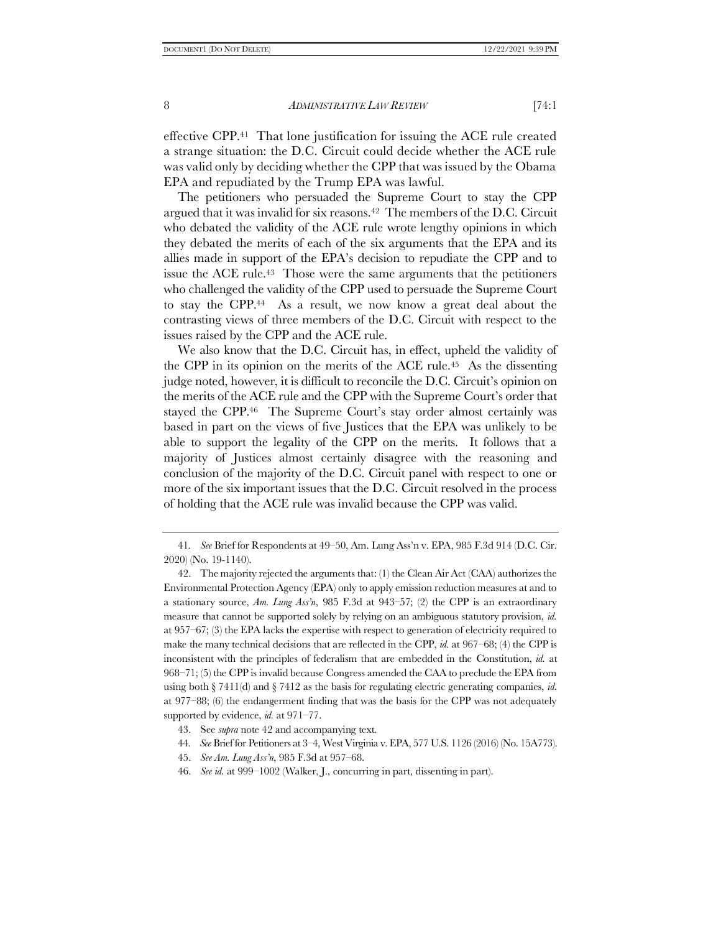effective CPP.41 That lone justification for issuing the ACE rule created a strange situation: the D.C. Circuit could decide whether the ACE rule was valid only by deciding whether the CPP that was issued by the Obama EPA and repudiated by the Trump EPA was lawful.

<span id="page-7-0"></span>The petitioners who persuaded the Supreme Court to stay the CPP argued that it was invalid for six reasons.42 The members of the D.C. Circuit who debated the validity of the ACE rule wrote lengthy opinions in which they debated the merits of each of the six arguments that the EPA and its allies made in support of the EPA's decision to repudiate the CPP and to issue the ACE rule.43 Those were the same arguments that the petitioners who challenged the validity of the CPP used to persuade the Supreme Court to stay the CPP.44 As a result, we now know a great deal about the contrasting views of three members of the D.C. Circuit with respect to the issues raised by the CPP and the ACE rule.

We also know that the D.C. Circuit has, in effect, upheld the validity of the CPP in its opinion on the merits of the ACE rule.45 As the dissenting judge noted, however, it is difficult to reconcile the D.C. Circuit's opinion on the merits of the ACE rule and the CPP with the Supreme Court's order that stayed the CPP.<sup>46</sup> The Supreme Court's stay order almost certainly was based in part on the views of five Justices that the EPA was unlikely to be able to support the legality of the CPP on the merits. It follows that a majority of Justices almost certainly disagree with the reasoning and conclusion of the majority of the D.C. Circuit panel with respect to one or more of the six important issues that the D.C. Circuit resolved in the process of holding that the ACE rule was invalid because the CPP was valid.

- 44*. See* Brief for Petitioners at 3–4, West Virginia v. EPA, 577 U.S. 1126 (2016) (No. 15A773).
- 45. *See Am. Lung Ass'n*, 985 F.3d at 957–68.
- 46. *See id.* at 999–1002 (Walker, J., concurring in part, dissenting in part).

<sup>41</sup>*. See* Brief for Respondents at 49–50, Am. Lung Ass'n v. EPA, 985 F.3d 914 (D.C. Cir. 2020) (No. 19-1140).

<sup>42.</sup> The majority rejected the arguments that: (1) the Clean Air Act (CAA) authorizes the Environmental Protection Agency (EPA) only to apply emission reduction measures at and to a stationary source, *Am. Lung Ass'n*, 985 F.3d at 943–57; (2) the CPP is an extraordinary measure that cannot be supported solely by relying on an ambiguous statutory provision, *id.* at 957–67; (3) the EPA lacks the expertise with respect to generation of electricity required to make the many technical decisions that are reflected in the CPP, *id.* at 967–68; (4) the CPP is inconsistent with the principles of federalism that are embedded in the Constitution, *id.* at 968–71; (5) the CPP is invalid because Congress amended the CAA to preclude the EPA from using both § 7411(d) and § 7412 as the basis for regulating electric generating companies, *id.* at 977–88; (6) the endangerment finding that was the basis for the CPP was not adequately supported by evidence, *id.* at 971–77.

<sup>43.</sup> See *supra* not[e 42](#page-7-0) and accompanying text.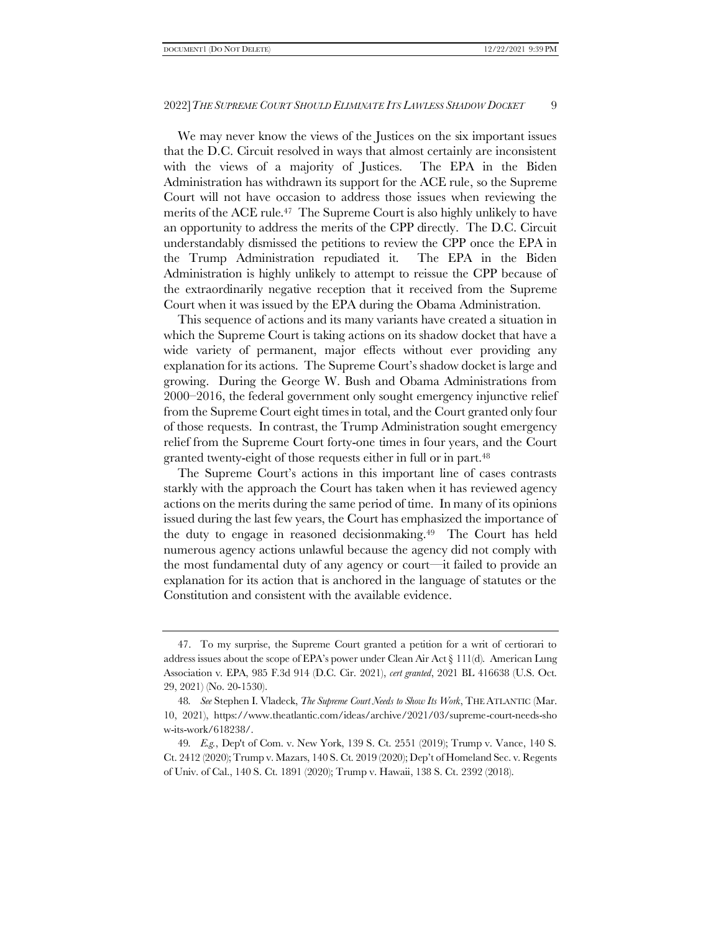We may never know the views of the Justices on the six important issues that the D.C. Circuit resolved in ways that almost certainly are inconsistent with the views of a majority of Justices. The EPA in the Biden Administration has withdrawn its support for the ACE rule, so the Supreme Court will not have occasion to address those issues when reviewing the merits of the ACE rule.<sup>47</sup> The Supreme Court is also highly unlikely to have an opportunity to address the merits of the CPP directly. The D.C. Circuit understandably dismissed the petitions to review the CPP once the EPA in the Trump Administration repudiated it. The EPA in the Biden Administration is highly unlikely to attempt to reissue the CPP because of the extraordinarily negative reception that it received from the Supreme Court when it was issued by the EPA during the Obama Administration.

This sequence of actions and its many variants have created a situation in which the Supreme Court is taking actions on its shadow docket that have a wide variety of permanent, major effects without ever providing any explanation for its actions. The Supreme Court's shadow docket is large and growing. During the George W. Bush and Obama Administrations from 2000–2016, the federal government only sought emergency injunctive relief from the Supreme Court eight times in total, and the Court granted only four of those requests. In contrast, the Trump Administration sought emergency relief from the Supreme Court forty-one times in four years, and the Court granted twenty-eight of those requests either in full or in part.<sup>48</sup>

The Supreme Court's actions in this important line of cases contrasts starkly with the approach the Court has taken when it has reviewed agency actions on the merits during the same period of time. In many of its opinions issued during the last few years, the Court has emphasized the importance of the duty to engage in reasoned decisionmaking.49 The Court has held numerous agency actions unlawful because the agency did not comply with the most fundamental duty of any agency or court—it failed to provide an explanation for its action that is anchored in the language of statutes or the Constitution and consistent with the available evidence.

<sup>47.</sup> To my surprise, the Supreme Court granted a petition for a writ of certiorari to address issues about the scope of EPA's power under Clean Air Act § 111(d). American Lung Association v. EPA, 985 F.3d 914 (D.C. Cir. 2021), *cert granted*, 2021 BL 416638 (U.S. Oct. 29, 2021) (No. 20-1530).

<sup>48</sup>*. See* Stephen I. Vladeck, *The Supreme Court Needs to Show Its Work*, THE ATLANTIC (Mar. 10, 2021), https://www.theatlantic.com/ideas/archive/2021/03/supreme-court-needs-sho w-its-work/618238/.

<sup>49</sup>*. E.g.*, Dep't of Com. v. New York, 139 S. Ct. 2551 (2019); Trump v. Vance, 140 S. Ct. 2412 (2020); Trump v. Mazars, 140 S. Ct. 2019 (2020); Dep't of Homeland Sec. v. Regents of Univ. of Cal., 140 S. Ct. 1891 (2020); Trump v. Hawaii, 138 S. Ct. 2392 (2018).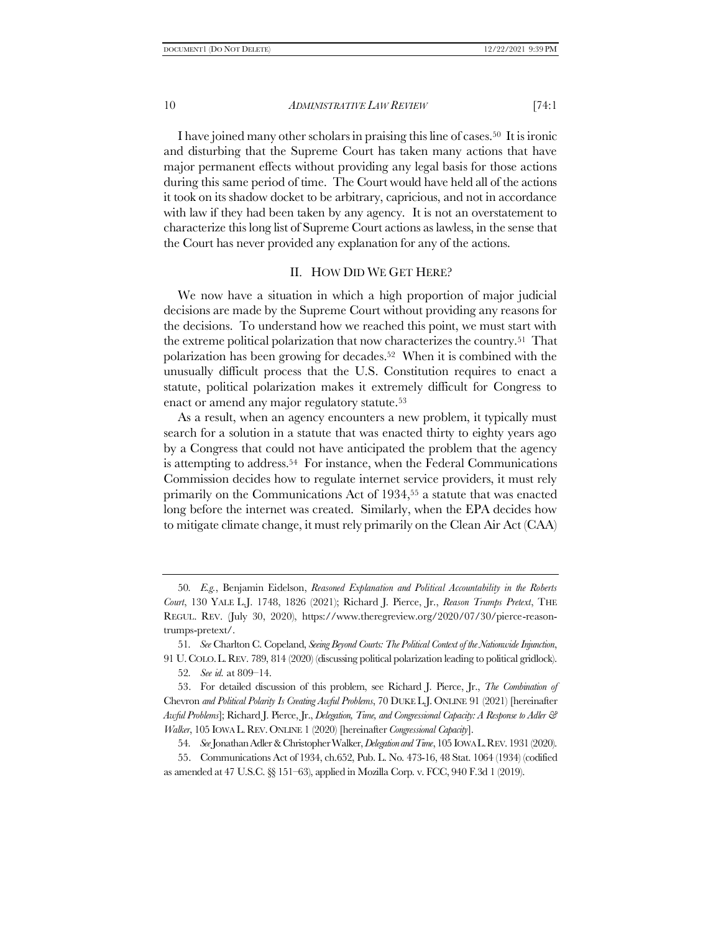I have joined many other scholars in praising this line of cases.50 It is ironic and disturbing that the Supreme Court has taken many actions that have major permanent effects without providing any legal basis for those actions during this same period of time. The Court would have held all of the actions it took on its shadow docket to be arbitrary, capricious, and not in accordance with law if they had been taken by any agency. It is not an overstatement to characterize this long list of Supreme Court actions as lawless, in the sense that the Court has never provided any explanation for any of the actions.

### <span id="page-9-1"></span><span id="page-9-0"></span>II. HOW DID WE GET HERE?

We now have a situation in which a high proportion of major judicial decisions are made by the Supreme Court without providing any reasons for the decisions. To understand how we reached this point, we must start with the extreme political polarization that now characterizes the country.51 That polarization has been growing for decades.52 When it is combined with the unusually difficult process that the U.S. Constitution requires to enact a statute, political polarization makes it extremely difficult for Congress to enact or amend any major regulatory statute.<sup>53</sup>

As a result, when an agency encounters a new problem, it typically must search for a solution in a statute that was enacted thirty to eighty years ago by a Congress that could not have anticipated the problem that the agency is attempting to address.54 For instance, when the Federal Communications Commission decides how to regulate internet service providers, it must rely primarily on the Communications Act of 1934,<sup>55</sup> a statute that was enacted long before the internet was created. Similarly, when the EPA decides how to mitigate climate change, it must rely primarily on the Clean Air Act (CAA)

54*. See*Jonathan Adler & Christopher Walker, *Delegation and Time*, 105 IOWA L.REV. 1931 (2020).

55. Communications Act of 1934, ch.652, Pub. L. No. 473-16, 48 Stat. 1064 (1934) (codified as amended at 47 U.S.C. §§ 151–63), applied in Mozilla Corp. v. FCC, 940 F.3d 1 (2019).

<sup>50</sup>*. E.g.*, Benjamin Eidelson, *Reasoned Explanation and Political Accountability in the Roberts Court*, 130 YALE L.J. 1748, 1826 (2021); Richard J. Pierce, Jr., *Reason Trumps Pretext*, THE REGUL. REV. (July 30, 2020), https://www.theregreview.org/2020/07/30/pierce-reasontrumps-pretext/.

<sup>51</sup>*. See* Charlton C. Copeland, *Seeing Beyond Courts: The Political Context of the Nationwide Injunction*, 91 U. COLO.L.REV. 789, 814 (2020) (discussing political polarization leading to political gridlock).

<sup>52</sup>*. See id.* at 809–14.

<sup>53.</sup> For detailed discussion of this problem, see Richard J. Pierce, Jr., *The Combination of* Chevron *and Political Polarity Is Creating Awful Problems*, 70 DUKE L.J. ONLINE 91 (2021) [hereinafter *Awful Problems*]; Richard J. Pierce, Jr., *Delegation, Time, and Congressional Capacity: A Response to Adler & Walker*, 105 IOWA L.REV. ONLINE 1 (2020) [hereinafter *Congressional Capacity*].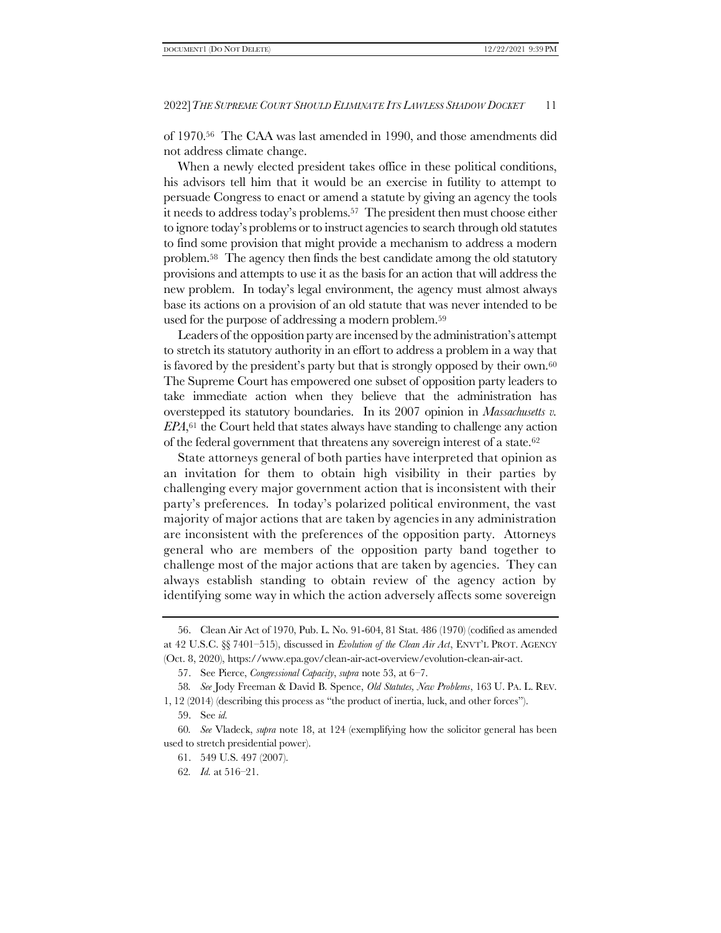of 1970.56 The CAA was last amended in 1990, and those amendments did not address climate change.

When a newly elected president takes office in these political conditions, his advisors tell him that it would be an exercise in futility to attempt to persuade Congress to enact or amend a statute by giving an agency the tools it needs to address today's problems.57 The president then must choose either to ignore today's problems or to instruct agencies to search through old statutes to find some provision that might provide a mechanism to address a modern problem.<sup>58</sup> The agency then finds the best candidate among the old statutory provisions and attempts to use it as the basis for an action that will address the new problem. In today's legal environment, the agency must almost always base its actions on a provision of an old statute that was never intended to be used for the purpose of addressing a modern problem.<sup>59</sup>

Leaders of the opposition party are incensed by the administration's attempt to stretch its statutory authority in an effort to address a problem in a way that is favored by the president's party but that is strongly opposed by their own.<sup>60</sup> The Supreme Court has empowered one subset of opposition party leaders to take immediate action when they believe that the administration has overstepped its statutory boundaries. In its 2007 opinion in *Massachusetts v. EPA*, <sup>61</sup> the Court held that states always have standing to challenge any action of the federal government that threatens any sovereign interest of a state.<sup>62</sup>

State attorneys general of both parties have interpreted that opinion as an invitation for them to obtain high visibility in their parties by challenging every major government action that is inconsistent with their party's preferences. In today's polarized political environment, the vast majority of major actions that are taken by agencies in any administration are inconsistent with the preferences of the opposition party. Attorneys general who are members of the opposition party band together to challenge most of the major actions that are taken by agencies. They can always establish standing to obtain review of the agency action by identifying some way in which the action adversely affects some sovereign

<sup>56.</sup> Clean Air Act of 1970, Pub. L. No. 91-604, 81 Stat. 486 (1970) (codified as amended at 42 U.S.C. §§ 7401–515), discussed in *Evolution of the Clean Air Act*, ENVT'L PROT. AGENCY (Oct. 8, 2020), https://www.epa.gov/clean-air-act-overview/evolution-clean-air-act.

<sup>57.</sup> See Pierce, *Congressional Capacity*, *supra* not[e 53,](#page-9-0) at 6–7.

<sup>58</sup>*. See* Jody Freeman & David B. Spence, *Old Statutes, New Problems*, 163 U. PA. L. REV. 1, 12 (2014) (describing this process as "the product of inertia, luck, and other forces").

<sup>59.</sup> See *id.*

<sup>60</sup>*. See* Vladeck, *supra* note [18,](#page-3-0) at 124 (exemplifying how the solicitor general has been used to stretch presidential power).

<sup>61.</sup> 549 U.S. 497 (2007).

<sup>62</sup>*. Id.* at 516–21.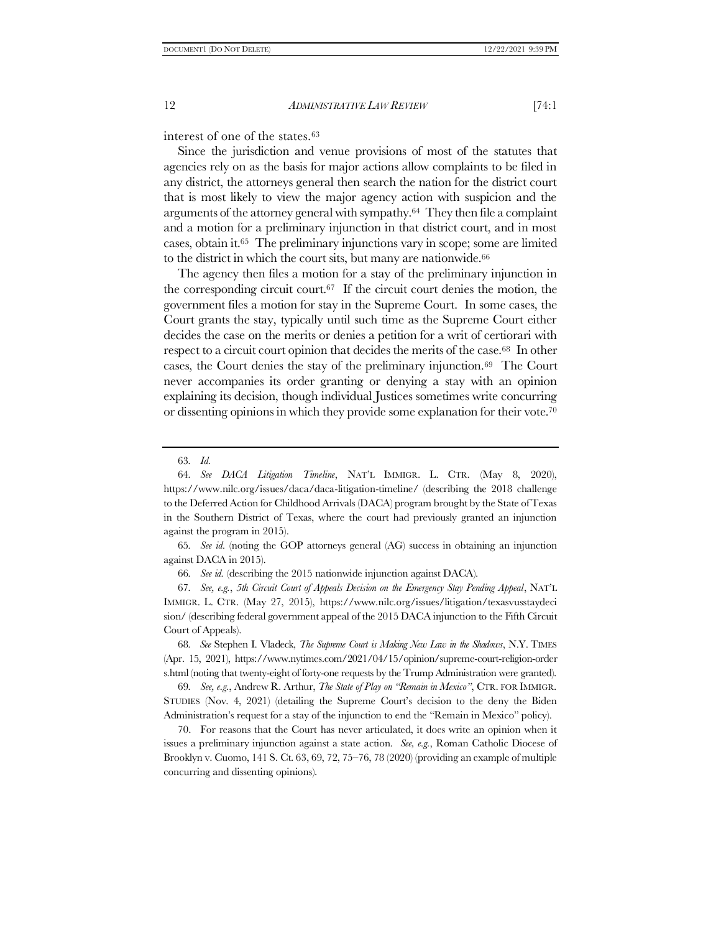interest of one of the states.<sup>63</sup>

Since the jurisdiction and venue provisions of most of the statutes that agencies rely on as the basis for major actions allow complaints to be filed in any district, the attorneys general then search the nation for the district court that is most likely to view the major agency action with suspicion and the arguments of the attorney general with sympathy.64 They then file a complaint and a motion for a preliminary injunction in that district court, and in most cases, obtain it.65 The preliminary injunctions vary in scope; some are limited to the district in which the court sits, but many are nationwide.<sup>66</sup>

The agency then files a motion for a stay of the preliminary injunction in the corresponding circuit court.67 If the circuit court denies the motion, the government files a motion for stay in the Supreme Court. In some cases, the Court grants the stay, typically until such time as the Supreme Court either decides the case on the merits or denies a petition for a writ of certiorari with respect to a circuit court opinion that decides the merits of the case.68 In other cases, the Court denies the stay of the preliminary injunction.69 The Court never accompanies its order granting or denying a stay with an opinion explaining its decision, though individual Justices sometimes write concurring or dissenting opinions in which they provide some explanation for their vote.<sup>70</sup>

63*. Id.*

65*. See id.* (noting the GOP attorneys general (AG) success in obtaining an injunction against DACA in 2015).

66*. See id.* (describing the 2015 nationwide injunction against DACA).

67*. See, e.g.*, *5th Circuit Court of Appeals Decision on the Emergency Stay Pending Appeal*, NAT'L IMMIGR. L. CTR. (May 27, 2015), https://www.nilc.org/issues/litigation/texasvusstaydeci sion/ (describing federal government appeal of the 2015 DACA injunction to the Fifth Circuit Court of Appeals).

68*. See* Stephen I. Vladeck, *The Supreme Court is Making New Law in the Shadows*, N.Y. TIMES (Apr. 15, 2021), https://www.nytimes.com/2021/04/15/opinion/supreme-court-religion-order s.html (noting that twenty-eight of forty-one requests by the Trump Administration were granted).

69*. See, e.g.*, Andrew R. Arthur, *The State of Play on "Remain in Mexico"*, CTR. FOR IMMIGR. STUDIES (Nov. 4, 2021) (detailing the Supreme Court's decision to the deny the Biden Administration's request for a stay of the injunction to end the "Remain in Mexico" policy).

70. For reasons that the Court has never articulated, it does write an opinion when it issues a preliminary injunction against a state action. *See, e.g.*, Roman Catholic Diocese of Brooklyn v. Cuomo, 141 S. Ct. 63, 69, 72, 75–76, 78 (2020) (providing an example of multiple concurring and dissenting opinions).

<sup>64</sup>*. See DACA Litigation Timeline*, NAT'L IMMIGR. L. CTR. (May 8, 2020), https://www.nilc.org/issues/daca/daca-litigation-timeline/ (describing the 2018 challenge to the Deferred Action for Childhood Arrivals (DACA) program brought by the State of Texas in the Southern District of Texas, where the court had previously granted an injunction against the program in 2015).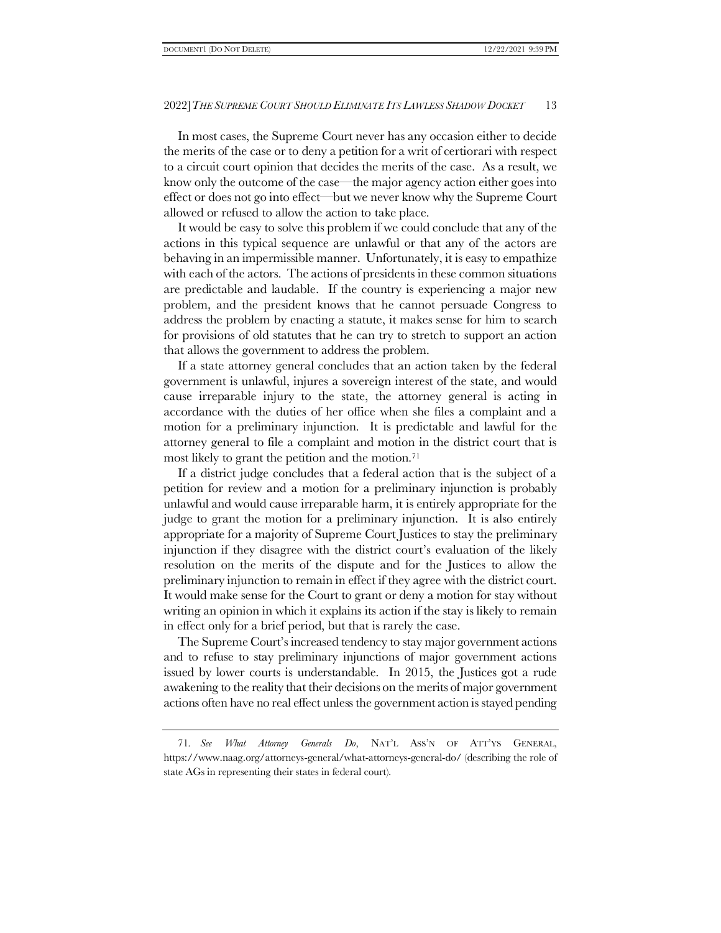In most cases, the Supreme Court never has any occasion either to decide the merits of the case or to deny a petition for a writ of certiorari with respect to a circuit court opinion that decides the merits of the case. As a result, we know only the outcome of the case—the major agency action either goes into effect or does not go into effect—but we never know why the Supreme Court allowed or refused to allow the action to take place.

It would be easy to solve this problem if we could conclude that any of the actions in this typical sequence are unlawful or that any of the actors are behaving in an impermissible manner. Unfortunately, it is easy to empathize with each of the actors. The actions of presidents in these common situations are predictable and laudable. If the country is experiencing a major new problem, and the president knows that he cannot persuade Congress to address the problem by enacting a statute, it makes sense for him to search for provisions of old statutes that he can try to stretch to support an action that allows the government to address the problem.

If a state attorney general concludes that an action taken by the federal government is unlawful, injures a sovereign interest of the state, and would cause irreparable injury to the state, the attorney general is acting in accordance with the duties of her office when she files a complaint and a motion for a preliminary injunction. It is predictable and lawful for the attorney general to file a complaint and motion in the district court that is most likely to grant the petition and the motion.<sup>71</sup>

If a district judge concludes that a federal action that is the subject of a petition for review and a motion for a preliminary injunction is probably unlawful and would cause irreparable harm, it is entirely appropriate for the judge to grant the motion for a preliminary injunction. It is also entirely appropriate for a majority of Supreme Court Justices to stay the preliminary injunction if they disagree with the district court's evaluation of the likely resolution on the merits of the dispute and for the Justices to allow the preliminary injunction to remain in effect if they agree with the district court. It would make sense for the Court to grant or deny a motion for stay without writing an opinion in which it explains its action if the stay is likely to remain in effect only for a brief period, but that is rarely the case.

The Supreme Court's increased tendency to stay major government actions and to refuse to stay preliminary injunctions of major government actions issued by lower courts is understandable. In 2015, the Justices got a rude awakening to the reality that their decisions on the merits of major government actions often have no real effect unless the government action is stayed pending

<sup>71</sup>*. See What Attorney Generals Do*, NAT'L ASS'N OF ATT'YS GENERAL, https://www.naag.org/attorneys-general/what-attorneys-general-do/ (describing the role of state AGs in representing their states in federal court).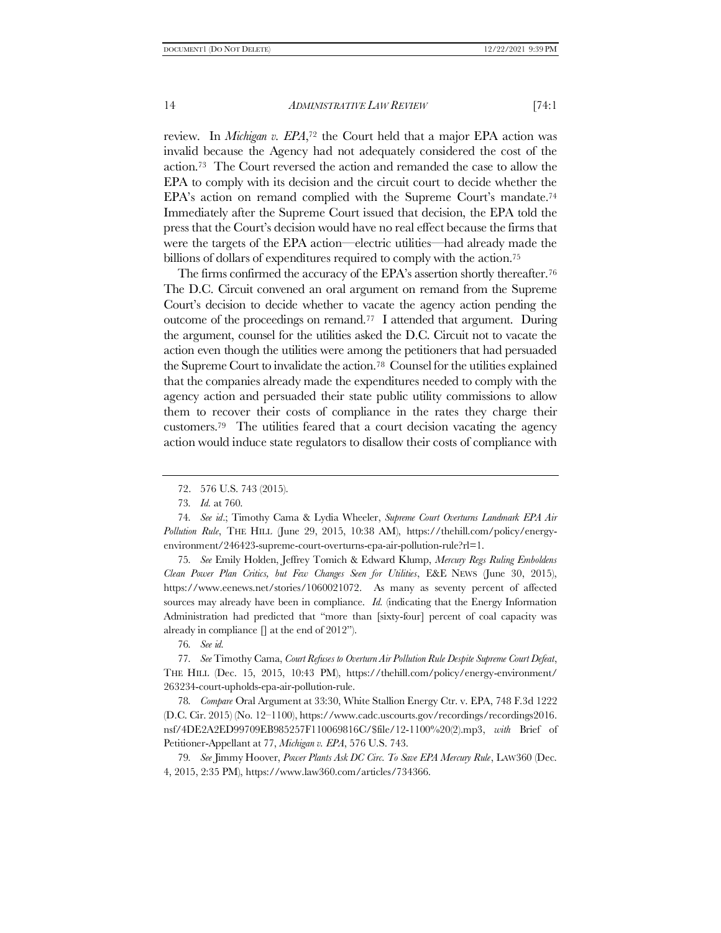review. In *Michigan v. EPA*, <sup>72</sup> the Court held that a major EPA action was invalid because the Agency had not adequately considered the cost of the action.73 The Court reversed the action and remanded the case to allow the EPA to comply with its decision and the circuit court to decide whether the EPA's action on remand complied with the Supreme Court's mandate.<sup>74</sup> Immediately after the Supreme Court issued that decision, the EPA told the press that the Court's decision would have no real effect because the firms that were the targets of the EPA action—electric utilities—had already made the billions of dollars of expenditures required to comply with the action.<sup>75</sup>

The firms confirmed the accuracy of the EPA's assertion shortly thereafter.<sup>76</sup> The D.C. Circuit convened an oral argument on remand from the Supreme Court's decision to decide whether to vacate the agency action pending the outcome of the proceedings on remand.77 I attended that argument. During the argument, counsel for the utilities asked the D.C. Circuit not to vacate the action even though the utilities were among the petitioners that had persuaded the Supreme Court to invalidate the action.<sup>78</sup> Counsel for the utilities explained that the companies already made the expenditures needed to comply with the agency action and persuaded their state public utility commissions to allow them to recover their costs of compliance in the rates they charge their customers.79 The utilities feared that a court decision vacating the agency action would induce state regulators to disallow their costs of compliance with

75*. See* Emily Holden, Jeffrey Tomich & Edward Klump, *Mercury Regs Ruling Emboldens Clean Power Plan Critics, but Few Changes Seen for Utilities*, E&E NEWS (June 30, 2015), https://www.eenews.net/stories/1060021072. As many as seventy percent of affected sources may already have been in compliance. *Id.* (indicating that the Energy Information Administration had predicted that "more than [sixty-four] percent of coal capacity was already in compliance  $\Box$  at the end of 2012").

76*. See id.*

77*. See* Timothy Cama, *Court Refuses to Overturn Air Pollution Rule Despite Supreme Court Defeat*, THE HILL (Dec. 15, 2015, 10:43 PM), https://thehill.com/policy/energy-environment/ 263234-court-upholds-epa-air-pollution-rule.

78*. Compare* Oral Argument at 33:30, White Stallion Energy Ctr. v. EPA, 748 F.3d 1222 (D.C. Cir. 2015) (No. 12–1100), https://www.cadc.uscourts.gov/recordings/recordings2016. nsf/4DE2A2ED99709EB985257F110069816C/\$file/12-1100%20(2).mp3, *with* Brief of Petitioner-Appellant at 77, *Michigan v. EPA*, 576 U.S. 743.

79*. See* Jimmy Hoover, *Power Plants Ask DC Circ. To Save EPA Mercury Rule*, LAW360 (Dec. 4, 2015, 2:35 PM), https://www.law360.com/articles/734366.

<sup>72.</sup> 576 U.S. 743 (2015).

<sup>73</sup>*. Id.* at 760.

<sup>74</sup>*. See id*.; Timothy Cama & Lydia Wheeler, *Supreme Court Overturns Landmark EPA Air Pollution Rule*, THE HILL (June 29, 2015, 10:38 AM), https://thehill.com/policy/energyenvironment/246423-supreme-court-overturns-epa-air-pollution-rule?rl=1.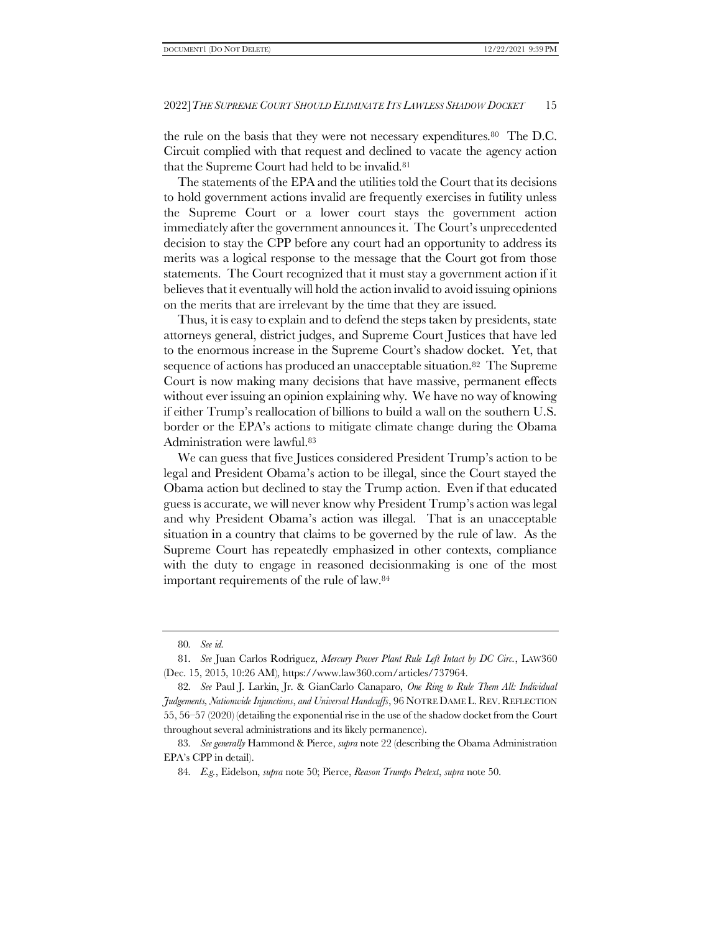the rule on the basis that they were not necessary expenditures.<sup>80</sup> The D.C. Circuit complied with that request and declined to vacate the agency action that the Supreme Court had held to be invalid.<sup>81</sup>

The statements of the EPA and the utilities told the Court that its decisions to hold government actions invalid are frequently exercises in futility unless the Supreme Court or a lower court stays the government action immediately after the government announces it. The Court's unprecedented decision to stay the CPP before any court had an opportunity to address its merits was a logical response to the message that the Court got from those statements. The Court recognized that it must stay a government action if it believes that it eventually will hold the action invalid to avoid issuing opinions on the merits that are irrelevant by the time that they are issued.

Thus, it is easy to explain and to defend the steps taken by presidents, state attorneys general, district judges, and Supreme Court Justices that have led to the enormous increase in the Supreme Court's shadow docket. Yet, that sequence of actions has produced an unacceptable situation.82 The Supreme Court is now making many decisions that have massive, permanent effects without ever issuing an opinion explaining why. We have no way of knowing if either Trump's reallocation of billions to build a wall on the southern U.S. border or the EPA's actions to mitigate climate change during the Obama Administration were lawful.<sup>83</sup>

We can guess that five Justices considered President Trump's action to be legal and President Obama's action to be illegal, since the Court stayed the Obama action but declined to stay the Trump action. Even if that educated guess is accurate, we will never know why President Trump's action was legal and why President Obama's action was illegal. That is an unacceptable situation in a country that claims to be governed by the rule of law. As the Supreme Court has repeatedly emphasized in other contexts, compliance with the duty to engage in reasoned decision making is one of the most important requirements of the rule of law.<sup>84</sup>

<sup>80</sup>*. See id.*

<sup>81</sup>*. See* Juan Carlos Rodriguez, *Mercury Power Plant Rule Left Intact by DC Circ.*, LAW360 (Dec. 15, 2015, 10:26 AM), https://www.law360.com/articles/737964.

<sup>82</sup>*. See* Paul J. Larkin, Jr. & GianCarlo Canaparo, *One Ring to Rule Them All: Individual Judgements, Nationwide Injunctions*, *and Universal Handcuffs*, 96 NOTRE DAME L. REV.REFLECTION 55, 56–57 (2020) (detailing the exponential rise in the use of the shadow docket from the Court throughout several administrations and its likely permanence).

<sup>83</sup>*. See generally* Hammond & Pierce, *supra* not[e 22](#page-3-1) (describing the Obama Administration EPA's CPP in detail).

<sup>84</sup>*. E.g.*, Eidelson, *supra* not[e 50;](#page-9-1) Pierce, *Reason Trumps Pretext*, *supra* not[e 50.](#page-9-1)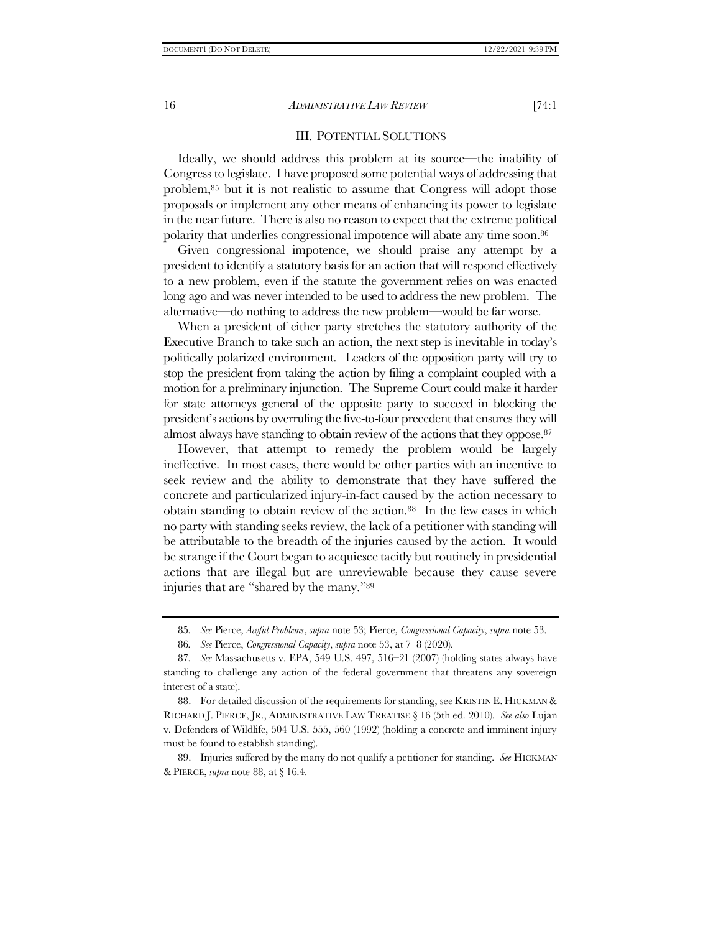#### III. POTENTIAL SOLUTIONS

Ideally, we should address this problem at its source—the inability of Congress to legislate. I have proposed some potential ways of addressing that problem,<sup>85</sup> but it is not realistic to assume that Congress will adopt those proposals or implement any other means of enhancing its power to legislate in the near future. There is also no reason to expect that the extreme political polarity that underlies congressional impotence will abate any time soon.<sup>86</sup>

Given congressional impotence, we should praise any attempt by a president to identify a statutory basis for an action that will respond effectively to a new problem, even if the statute the government relies on was enacted long ago and was never intended to be used to address the new problem. The alternative—do nothing to address the new problem—would be far worse.

When a president of either party stretches the statutory authority of the Executive Branch to take such an action, the next step is inevitable in today's politically polarized environment. Leaders of the opposition party will try to stop the president from taking the action by filing a complaint coupled with a motion for a preliminary injunction. The Supreme Court could make it harder for state attorneys general of the opposite party to succeed in blocking the president's actions by overruling the five-to-four precedent that ensures they will almost always have standing to obtain review of the actions that they oppose.<sup>87</sup>

<span id="page-15-0"></span>However, that attempt to remedy the problem would be largely ineffective. In most cases, there would be other parties with an incentive to seek review and the ability to demonstrate that they have suffered the concrete and particularized injury-in-fact caused by the action necessary to obtain standing to obtain review of the action.88 In the few cases in which no party with standing seeks review, the lack of a petitioner with standing will be attributable to the breadth of the injuries caused by the action. It would be strange if the Court began to acquiesce tacitly but routinely in presidential actions that are illegal but are unreviewable because they cause severe injuries that are "shared by the many."<sup>89</sup>

88. For detailed discussion of the requirements for standing, see KRISTIN E. HICKMAN & RICHARD J. PIERCE, JR., ADMINISTRATIVE LAW TREATISE § 16 (5th ed. 2010). *See also* Lujan v. Defenders of Wildlife, 504 U.S. 555, 560 (1992) (holding a concrete and imminent injury must be found to establish standing).

89. Injuries suffered by the many do not qualify a petitioner for standing. *See* HICKMAN & PIERCE, *supra* not[e 88,](#page-15-0) at § 16.4.

<sup>85</sup>*. See* Pierce, *Awful Problems*, *supra* not[e 53;](#page-9-0) Pierce, *Congressional Capacity*, *supra* not[e 53.](#page-9-0)

<sup>86</sup>*. See* Pierce, *Congressional Capacity*, *supra* note [53,](#page-9-0) at 7–8 (2020).

<sup>87</sup>*. See* Massachusetts v. EPA, 549 U.S. 497, 516–21 (2007) (holding states always have standing to challenge any action of the federal government that threatens any sovereign interest of a state).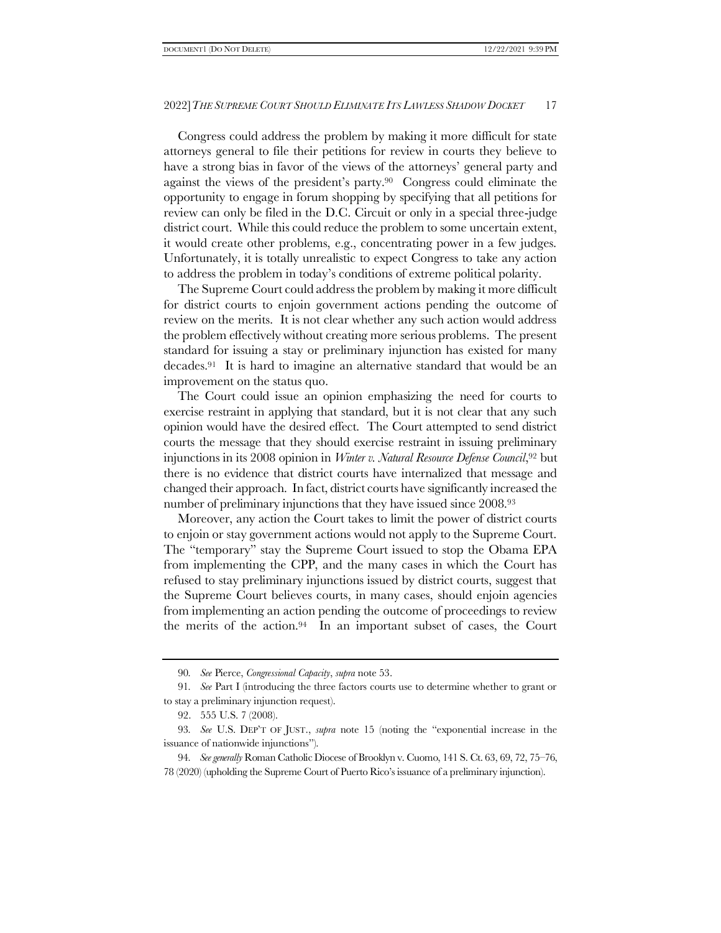Congress could address the problem by making it more difficult for state attorneys general to file their petitions for review in courts they believe to have a strong bias in favor of the views of the attorneys' general party and against the views of the president's party.90 Congress could eliminate the opportunity to engage in forum shopping by specifying that all petitions for review can only be filed in the D.C. Circuit or only in a special three-judge district court. While this could reduce the problem to some uncertain extent, it would create other problems, e.g., concentrating power in a few judges. Unfortunately, it is totally unrealistic to expect Congress to take any action to address the problem in today's conditions of extreme political polarity.

The Supreme Court could address the problem by making it more difficult for district courts to enjoin government actions pending the outcome of review on the merits. It is not clear whether any such action would address the problem effectively without creating more serious problems. The present standard for issuing a stay or preliminary injunction has existed for many decades.91 It is hard to imagine an alternative standard that would be an improvement on the status quo.

The Court could issue an opinion emphasizing the need for courts to exercise restraint in applying that standard, but it is not clear that any such opinion would have the desired effect. The Court attempted to send district courts the message that they should exercise restraint in issuing preliminary injunctions in its 2008 opinion in *Winter v. Natural Resource Defense Council*, <sup>92</sup> but there is no evidence that district courts have internalized that message and changed their approach. In fact, district courts have significantly increased the number of preliminary injunctions that they have issued since 2008.<sup>93</sup>

Moreover, any action the Court takes to limit the power of district courts to enjoin or stay government actions would not apply to the Supreme Court. The "temporary" stay the Supreme Court issued to stop the Obama EPA from implementing the CPP, and the many cases in which the Court has refused to stay preliminary injunctions issued by district courts, suggest that the Supreme Court believes courts, in many cases, should enjoin agencies from implementing an action pending the outcome of proceedings to review the merits of the action.94 In an important subset of cases, the Court

<sup>90</sup>*. See* Pierce, *Congressional Capacity*, *supra* note [53.](#page-9-0)

<sup>91</sup>*. See* Part [I](#page-5-0) (introducing the three factors courts use to determine whether to grant or to stay a preliminary injunction request).

<sup>92.</sup> 555 U.S. 7 (2008).

<sup>93</sup>*. See* U.S. DEP'T OF JUST., *supra* note [15](#page-2-1) (noting the "exponential increase in the issuance of nationwide injunctions").

<sup>94</sup>*. See generally* Roman Catholic Diocese of Brooklyn v. Cuomo, 141 S. Ct. 63, 69, 72, 75–76, 78 (2020) (upholding the Supreme Court of Puerto Rico's issuance of a preliminary injunction).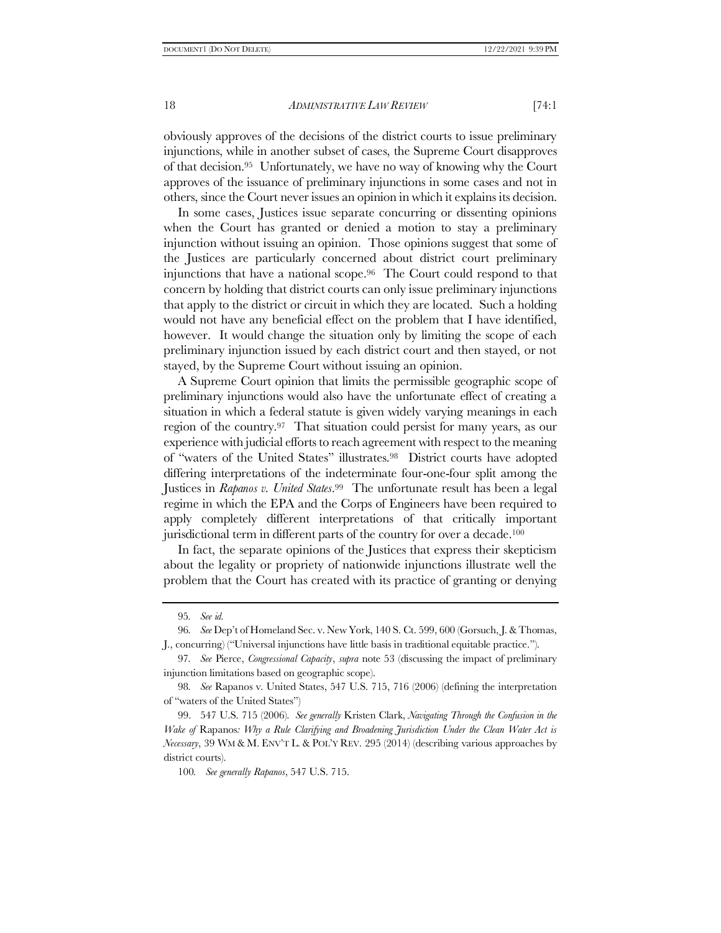obviously approves of the decisions of the district courts to issue preliminary injunctions, while in another subset of cases, the Supreme Court disapproves of that decision.95 Unfortunately, we have no way of knowing why the Court approves of the issuance of preliminary injunctions in some cases and not in others, since the Court never issues an opinion in which it explains its decision.

In some cases, Justices issue separate concurring or dissenting opinions when the Court has granted or denied a motion to stay a preliminary injunction without issuing an opinion. Those opinions suggest that some of the Justices are particularly concerned about district court preliminary injunctions that have a national scope.96 The Court could respond to that concern by holding that district courts can only issue preliminary injunctions that apply to the district or circuit in which they are located. Such a holding would not have any beneficial effect on the problem that I have identified, however. It would change the situation only by limiting the scope of each preliminary injunction issued by each district court and then stayed, or not stayed, by the Supreme Court without issuing an opinion.

A Supreme Court opinion that limits the permissible geographic scope of preliminary injunctions would also have the unfortunate effect of creating a situation in which a federal statute is given widely varying meanings in each region of the country.97 That situation could persist for many years, as our experience with judicial efforts to reach agreement with respect to the meaning of "waters of the United States" illustrates.98 District courts have adopted differing interpretations of the indeterminate four-one-four split among the Justices in *Rapanos v. United States*. <sup>99</sup> The unfortunate result has been a legal regime in which the EPA and the Corps of Engineers have been required to apply completely different interpretations of that critically important jurisdictional term in different parts of the country for over a decade.<sup>100</sup>

In fact, the separate opinions of the Justices that express their skepticism about the legality or propriety of nationwide injunctions illustrate well the problem that the Court has created with its practice of granting or denying

<sup>95</sup>*. See id.* 

<sup>96</sup>*. See* Dep't of Homeland Sec. v. New York, 140 S. Ct. 599, 600 (Gorsuch, J. & Thomas, J., concurring) ("Universal injunctions have little basis in traditional equitable practice.").

<sup>97</sup>*. See* Pierce, *Congressional Capacity*, *supra* note [53](#page-9-0) (discussing the impact of preliminary injunction limitations based on geographic scope).

<sup>98</sup>*. See* Rapanos v. United States, 547 U.S. 715, 716 (2006) (defining the interpretation of "waters of the United States")

<sup>99.</sup> 547 U.S. 715 (2006). *See generally* Kristen Clark, *Navigating Through the Confusion in the Wake of* Rapanos*: Why a Rule Clarifying and Broadening Jurisdiction Under the Clean Water Act is Necessary*, 39 WM & M. ENV'T L. & POL'Y REV. 295 (2014) (describing various approaches by district courts).

<sup>100</sup>*. See generally Rapanos*, 547 U.S. 715.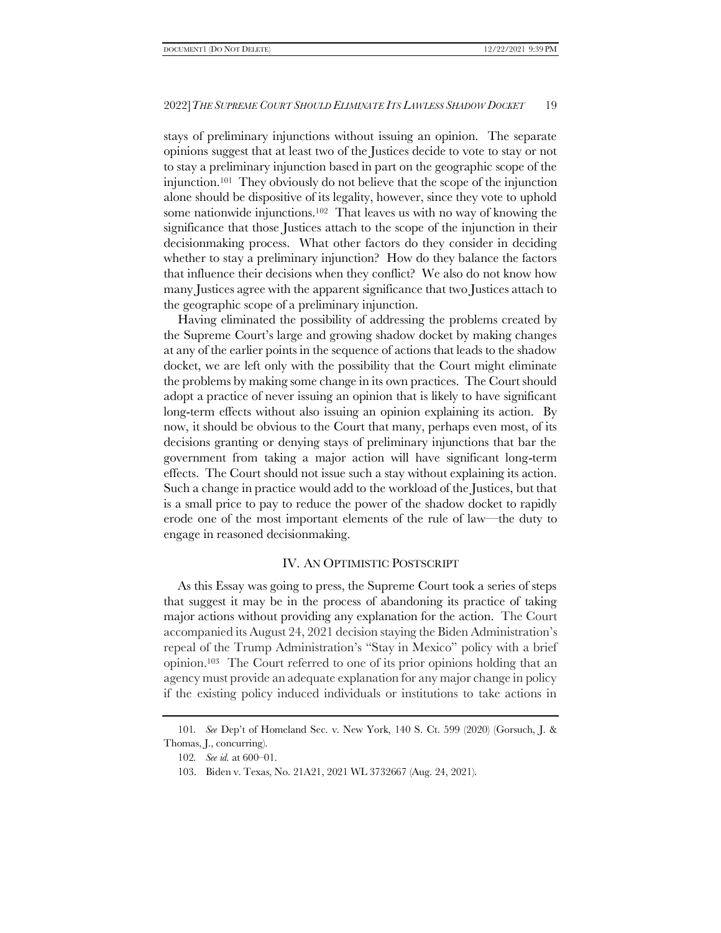stays of preliminary injunctions without issuing an opinion. The separate opinions suggest that at least two of the Justices decide to vote to stay or not to stay a preliminary injunction based in part on the geographic scope of the injunction.101 They obviously do not believe that the scope of the injunction alone should be dispositive of its legality, however, since they vote to uphold some nationwide injunctions.102 That leaves us with no way of knowing the significance that those Justices attach to the scope of the injunction in their decisionmaking process. What other factors do they consider in deciding whether to stay a preliminary injunction? How do they balance the factors that influence their decisions when they conflict? We also do not know how many Justices agree with the apparent significance that two Justices attach to the geographic scope of a preliminary injunction.

Having eliminated the possibility of addressing the problems created by the Supreme Court's large and growing shadow docket by making changes at any of the earlier points in the sequence of actions that leads to the shadow docket, we are left only with the possibility that the Court might eliminate the problems by making some change in its own practices. The Court should adopt a practice of never issuing an opinion that is likely to have significant long-term effects without also issuing an opinion explaining its action. By now, it should be obvious to the Court that many, perhaps even most, of its decisions granting or denying stays of preliminary injunctions that bar the government from taking a major action will have significant long-term effects. The Court should not issue such a stay without explaining its action. Such a change in practice would add to the workload of the Justices, but that is a small price to pay to reduce the power of the shadow docket to rapidly erode one of the most important elements of the rule of law—the duty to engage in reasoned decisionmaking.

#### IV. AN OPTIMISTIC POSTSCRIPT

As this Essay was going to press, the Supreme Court took a series of steps that suggest it may be in the process of abandoning its practice of taking major actions without providing any explanation for the action. The Court accompanied its August 24, 2021 decision staying the Biden Administration's repeal of the Trump Administration's "Stay in Mexico" policy with a brief opinion.103 The Court referred to one of its prior opinions holding that an agency must provide an adequate explanation for any major change in policy if the existing policy induced individuals or institutions to take actions in

<sup>101</sup>*. See* Dep't of Homeland Sec. v. New York, 140 S. Ct. 599 (2020) (Gorsuch, J. & Thomas, J., concurring).

<sup>102</sup>*. See id.* at 600–01.

<sup>103.</sup> Biden v. Texas, No. 21A21, 2021 WL 3732667 (Aug. 24, 2021).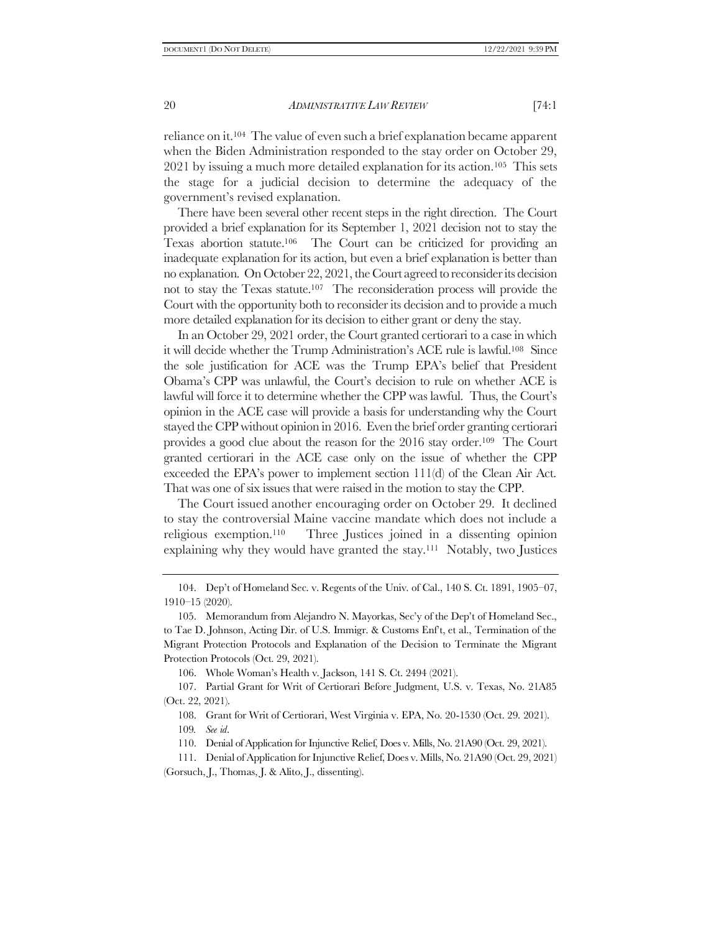reliance on it.104 The value of even such a brief explanation became apparent when the Biden Administration responded to the stay order on October 29, 2021 by issuing a much more detailed explanation for its action.105 This sets the stage for a judicial decision to determine the adequacy of the government's revised explanation.

There have been several other recent steps in the right direction. The Court provided a brief explanation for its September 1, 2021 decision not to stay the Texas abortion statute.106 The Court can be criticized for providing an inadequate explanation for its action, but even a brief explanation is better than no explanation. On October 22, 2021, the Court agreed to reconsider its decision not to stay the Texas statute.107 The reconsideration process will provide the Court with the opportunity both to reconsider its decision and to provide a much more detailed explanation for its decision to either grant or deny the stay.

In an October 29, 2021 order, the Court granted certiorari to a case in which it will decide whether the Trump Administration's ACE rule is lawful.108 Since the sole justification for ACE was the Trump EPA's belief that President Obama's CPP was unlawful, the Court's decision to rule on whether ACE is lawful will force it to determine whether the CPP was lawful. Thus, the Court's opinion in the ACE case will provide a basis for understanding why the Court stayed the CPP without opinion in 2016. Even the brief order granting certiorari provides a good clue about the reason for the 2016 stay order.109 The Court granted certiorari in the ACE case only on the issue of whether the CPP exceeded the EPA's power to implement section 111(d) of the Clean Air Act. That was one of six issues that were raised in the motion to stay the CPP.

The Court issued another encouraging order on October 29. It declined to stay the controversial Maine vaccine mandate which does not include a religious exemption.110 Three Justices joined in a dissenting opinion explaining why they would have granted the stay.111 Notably, two Justices

106. Whole Woman's Health v. Jackson, 141 S. Ct. 2494 (2021).

107. Partial Grant for Writ of Certiorari Before Judgment, U.S. v. Texas, No. 21A85 (Oct. 22, 2021).

108. Grant for Writ of Certiorari, West Virginia v. EPA, No. 20-1530 (Oct. 29. 2021).

- 109*. See id*.
- 110. Denial of Application for Injunctive Relief, Does v. Mills, No. 21A90 (Oct. 29, 2021).

111. Denial of Application for Injunctive Relief, Does v. Mills, No. 21A90 (Oct. 29, 2021) (Gorsuch, J., Thomas, J. & Alito, J., dissenting).

<sup>104.</sup> Dep't of Homeland Sec. v. Regents of the Univ. of Cal., 140 S. Ct. 1891, 1905–07, 1910–15 (2020).

<sup>105.</sup> Memorandum from Alejandro N. Mayorkas, Sec'y of the Dep't of Homeland Sec., to Tae D. Johnson, Acting Dir. of U.S. Immigr. & Customs Enf't, et al., Termination of the Migrant Protection Protocols and Explanation of the Decision to Terminate the Migrant Protection Protocols (Oct. 29, 2021).